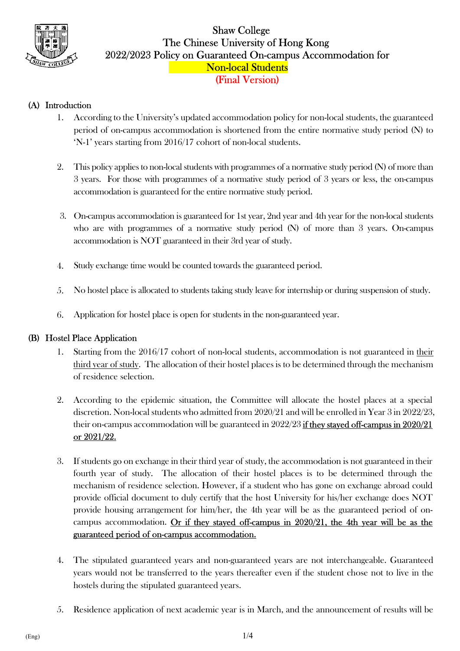

## Shaw College The Chinese University of Hong Kong 2022/2023 Policy on Guaranteed On-campus Accommodation for Non-local Students (Final Version)

## (A) Introduction

- 1. According to the University's updated accommodation policy for non-local students, the guaranteed period of on-campus accommodation is shortened from the entire normative study period (N) to 'N-1' years starting from 2016/17 cohort of non-local students.
- 2. This policy applies to non-local students with programmes of a normative study period (N) of more than 3 years. For those with programmes of a normative study period of 3 years or less, the on-campus accommodation is guaranteed for the entire normative study period.
- 3. On-campus accommodation is guaranteed for 1st year, 2nd year and 4th year for the non-local students who are with programmes of a normative study period (N) of more than 3 years. On-campus accommodation is NOT guaranteed in their 3rd year of study.
- 4. Study exchange time would be counted towards the guaranteed period.
- 5. No hostel place is allocated to students taking study leave for internship or during suspension of study.
- 6. Application for hostel place is open for students in the non-guaranteed year.

## (B) Hostel Place Application

- 1. Starting from the 2016/17 cohort of non-local students, accommodation is not guaranteed in their third year of study. The allocation of their hostel places is to be determined through the mechanism of residence selection.
- 2. According to the epidemic situation, the Committee will allocate the hostel places at a special discretion. Non-local students who admitted from 2020/21 and will be enrolled in Year 3 in 2022/23, their on-campus accommodation will be guaranteed in 2022/23 if they stayed off-campus in 2020/21 or 2021/22.
- 3. If students go on exchange in their third year of study, the accommodation is not guaranteed in their fourth year of study. The allocation of their hostel places is to be determined through the mechanism of residence selection. However, if a student who has gone on exchange abroad could provide official document to duly certify that the host University for his/her exchange does NOT provide housing arrangement for him/her, the 4th year will be as the guaranteed period of oncampus accommodation. Or if they stayed off-campus in 2020/21, the 4th year will be as the guaranteed period of on-campus accommodation.
- 4. The stipulated guaranteed years and non-guaranteed years are not interchangeable. Guaranteed years would not be transferred to the years thereafter even if the student chose not to live in the hostels during the stipulated guaranteed years.
- 5. Residence application of next academic year is in March, and the announcement of results will be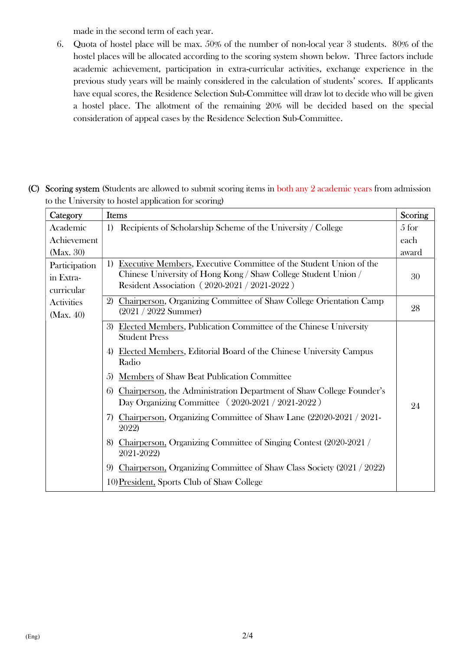made in the second term of each year.

6. Quota of hostel place will be max. 50% of the number of non-local year 3 students. 80% of the hostel places will be allocated according to the scoring system shown below. Three factors include academic achievement, participation in extra-curricular activities, exchange experience in the previous study years will be mainly considered in the calculation of students' scores. If applicants have equal scores, the Residence Selection Sub-Committee will draw lot to decide who will be given a hostel place. The allotment of the remaining 20% will be decided based on the special consideration of appeal cases by the Residence Selection Sub-Committee.

(C) Scoring system (Students are allowed to submit scoring items in both any 2 academic years from admission to the University to hostel application for scoring)

| Category                                 | <b>Items</b>                                                                                                                                                                               | Scoring |
|------------------------------------------|--------------------------------------------------------------------------------------------------------------------------------------------------------------------------------------------|---------|
| Academic                                 | Recipients of Scholarship Scheme of the University / College<br>1)                                                                                                                         | 5 for   |
| Achievement                              |                                                                                                                                                                                            | each    |
| (Max. 30)                                |                                                                                                                                                                                            | award   |
| Participation<br>in Extra-<br>curricular | Executive Members, Executive Committee of the Student Union of the<br>1)<br>Chinese University of Hong Kong / Shaw College Student Union /<br>Resident Association (2020-2021 / 2021-2022) | 30      |
| <b>Activities</b><br>Max. 40             | 2) Chairperson, Organizing Committee of Shaw College Orientation Camp<br>$(2021 / 2022$ Summer)                                                                                            | 28      |
|                                          | 3) Elected Members, Publication Committee of the Chinese University<br><b>Student Press</b><br>4) Elected Members, Editorial Board of the Chinese University Campus<br>Radio               |         |
|                                          | <b>Members of Shaw Beat Publication Committee</b><br>.5)                                                                                                                                   |         |
|                                          | Chairperson, the Administration Department of Shaw College Founder's<br>6)<br>Day Organizing Committee $(2020-2021/2021-2022)$                                                             | 24      |
|                                          | 7) Chairperson, Organizing Committee of Shaw Lane (22020-2021 / 2021-<br>2022)                                                                                                             |         |
|                                          | 8) Chairperson, Organizing Committee of Singing Contest (2020-2021 /<br>2021-2022)                                                                                                         |         |
|                                          | Chairperson, Organizing Committee of Shaw Class Society (2021 / 2022)<br>9                                                                                                                 |         |
|                                          | 10) President, Sports Club of Shaw College                                                                                                                                                 |         |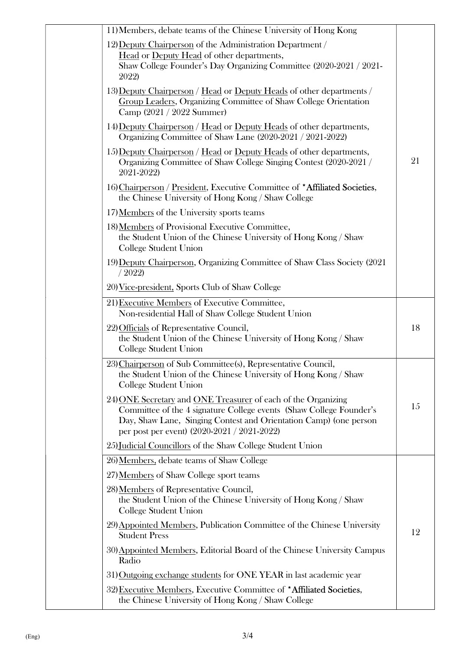| 11) Members, debate teams of the Chinese University of Hong Kong                                                                                                                                                                                         |    |
|----------------------------------------------------------------------------------------------------------------------------------------------------------------------------------------------------------------------------------------------------------|----|
| 12) Deputy Chairperson of the Administration Department /<br>Head or Deputy Head of other departments,<br>Shaw College Founder's Day Organizing Committee (2020-2021 / 2021-<br>2022)                                                                    |    |
| 13) Deputy Chairperson / Head or Deputy Heads of other departments /<br>Group Leaders, Organizing Committee of Shaw College Orientation<br>Camp (2021 / 2022 Summer)                                                                                     |    |
| 14) Deputy Chairperson / Head or Deputy Heads of other departments,<br>Organizing Committee of Shaw Lane (2020-2021 / 2021-2022)                                                                                                                         |    |
| 15) Deputy Chairperson / Head or Deputy Heads of other departments,<br>Organizing Committee of Shaw College Singing Contest (2020-2021)<br>2021-2022)                                                                                                    | 21 |
| 16) Chairperson / President, Executive Committee of *Affiliated Societies,<br>the Chinese University of Hong Kong / Shaw College                                                                                                                         |    |
| 17) Members of the University sports teams                                                                                                                                                                                                               |    |
| 18) Members of Provisional Executive Committee,<br>the Student Union of the Chinese University of Hong Kong / Shaw<br>College Student Union                                                                                                              |    |
| 19) Deputy Chairperson, Organizing Committee of Shaw Class Society (2021<br>/2022                                                                                                                                                                        |    |
| 20) Vice-president, Sports Club of Shaw College                                                                                                                                                                                                          |    |
| 21) Executive Members of Executive Committee,<br>Non-residential Hall of Shaw College Student Union                                                                                                                                                      |    |
| 22) Officials of Representative Council,<br>the Student Union of the Chinese University of Hong Kong / Shaw<br><b>College Student Union</b>                                                                                                              | 18 |
| 23) Chairperson of Sub Committee(s), Representative Council,<br>the Student Union of the Chinese University of Hong Kong / Shaw<br>College Student Union                                                                                                 |    |
| 24) ONE Secretary and ONE Treasurer of each of the Organizing<br>Committee of the 4 signature College events (Shaw College Founder's<br>Day, Shaw Lane, Singing Contest and Orientation Camp) (one person<br>per post per event) (2020-2021 / 2021-2022) | 15 |
| 25) Judicial Councillors of the Shaw College Student Union                                                                                                                                                                                               |    |
| 26) Members, debate teams of Shaw College                                                                                                                                                                                                                |    |
| 27) Members of Shaw College sport teams                                                                                                                                                                                                                  |    |
| 28) Members of Representative Council,<br>the Student Union of the Chinese University of Hong Kong / Shaw<br>College Student Union                                                                                                                       |    |
| 29) Appointed Members, Publication Committee of the Chinese University<br><b>Student Press</b>                                                                                                                                                           | 12 |
| 30) Appointed Members, Editorial Board of the Chinese University Campus<br>Radio                                                                                                                                                                         |    |
| 31) Outgoing exchange students for ONE YEAR in last academic year                                                                                                                                                                                        |    |
| 32) Executive Members, Executive Committee of *Affiliated Societies,<br>the Chinese University of Hong Kong / Shaw College                                                                                                                               |    |